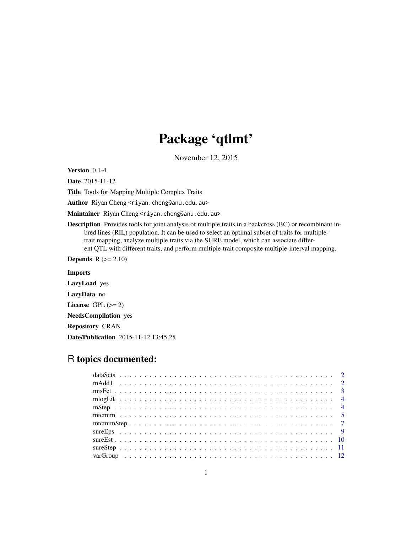# Package 'qtlmt'

November 12, 2015

<span id="page-0-0"></span>Version 0.1-4

Date 2015-11-12

Title Tools for Mapping Multiple Complex Traits

Author Riyan Cheng <riyan.cheng@anu.edu.au>

Maintainer Riyan Cheng <riyan.cheng@anu.edu.au>

Description Provides tools for joint analysis of multiple traits in a backcross (BC) or recombinant inbred lines (RIL) population. It can be used to select an optimal subset of traits for multipletrait mapping, analyze multiple traits via the SURE model, which can associate different QTL with different traits, and perform multiple-trait composite multiple-interval mapping.

Depends  $R$  ( $>= 2.10$ )

Imports LazyLoad yes LazyData no License GPL  $(>= 2)$ NeedsCompilation yes Repository CRAN Date/Publication 2015-11-12 13:45:25

# R topics documented: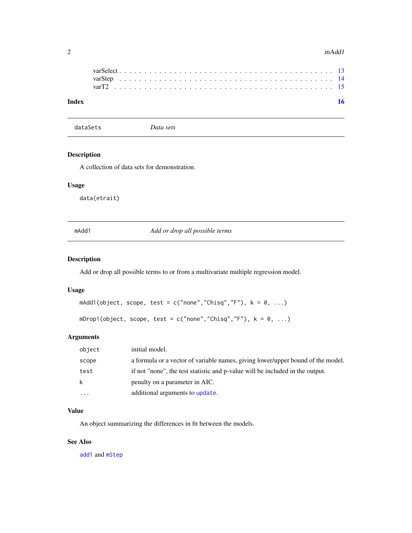#### <span id="page-1-0"></span>2 mAdd1

dataSets *Data sets*

# Description

A collection of data sets for demonstration.

# Usage

data(etrait)

<span id="page-1-1"></span>

mAdd1 *Add or drop all possible terms*

#### <span id="page-1-2"></span>Description

Add or drop all possible terms to or from a multivariate multiple regression model.

#### Usage

```
mAdd1(object, scope, test = c("none","Chisq","F"), k = 0, ...)
```
mDrop1(object, scope, test = c("none","Chisq","F"),  $k = 0, ...$ )

# Arguments

| object   | initial model.                                                                  |
|----------|---------------------------------------------------------------------------------|
| scope    | a formula or a vector of variable names, giving lower/upper bound of the model. |
| test     | if not "none", the test statistic and p-value will be included in the output.   |
| k        | penalty on a parameter in AIC.                                                  |
| $\cdots$ | additional arguments to update.                                                 |

# Value

An object summarizing the differences in fit between the models.

#### See Also

[add1](#page-0-0) and [mStep](#page-3-1)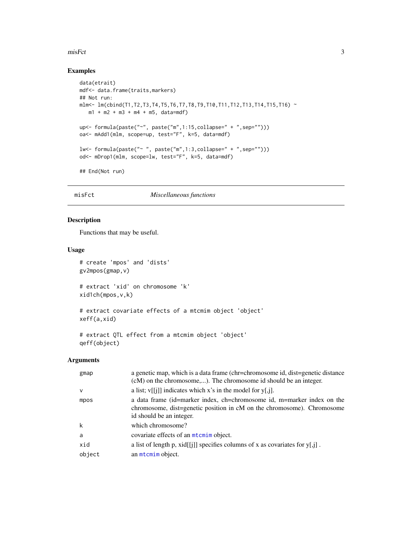#### <span id="page-2-0"></span>misFct 3

# Examples

```
data(etrait)
mdf<- data.frame(traits,markers)
## Not run:
mlm<- lm(cbind(T1,T2,T3,T4,T5,T6,T7,T8,T9,T10,T11,T12,T13,T14,T15,T16) ~
   m1 + m2 + m3 + m4 + m5, data=mdf)
up<- formula(paste("~", paste("m",1:15,collapse=" + ",sep="")))
oa<- mAdd1(mlm, scope=up, test="F", k=5, data=mdf)
lw<- formula(paste("~ ", paste("m",1:3,collapse=" + ",sep="")))
od<- mDrop1(mlm, scope=lw, test="F", k=5, data=mdf)
## End(Not run)
```
misFct *Miscellaneous functions*

# Description

Functions that may be useful.

#### Usage

```
# create 'mpos' and 'dists'
gv2mpos(gmap,v)
# extract 'xid' on chromosome 'k'
```

```
xid1ch(mpos,v,k)
```

```
# extract covariate effects of a mtcmim object 'object'
xeff(a,xid)
```

```
# extract QTL effect from a mtcmim object 'object'
qeff(object)
```

| gmap   | a genetic map, which is a data frame (chr=chromosome id, dist=genetic distance                                                                                               |
|--------|------------------------------------------------------------------------------------------------------------------------------------------------------------------------------|
|        | (cM) on the chromosome,). The chromosome id should be an integer.                                                                                                            |
| v      | a list; $v[[j]]$ indicates which x's in the model for $y[j]$ .                                                                                                               |
| mpos   | a data frame (id=marker index, ch=chromosome id, m=marker index on the<br>chromosome, dist=genetic position in cM on the chromosome). Chromosome<br>id should be an integer. |
| k      | which chromosome?                                                                                                                                                            |
| a      | covariate effects of an <i>m</i> tcmim object.                                                                                                                               |
| xid    | a list of length p, $xid[[j]]$ specifies columns of x as covariates for $y[j]$ .                                                                                             |
| object | an mtcmim object.                                                                                                                                                            |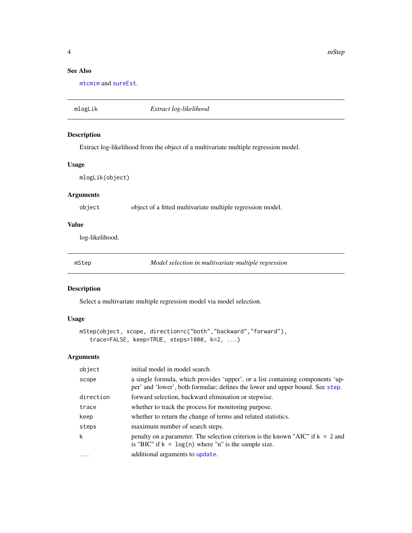4 mStep and the state of the state of the state of the state of the state of the state of the state of the state of the state of the state of the state of the state of the state of the state of the state of the state of th

# See Also

[mtcmim](#page-4-1) and [sureEst](#page-9-1).

mlogLik *Extract log-likelihood*

# Description

Extract log-likelihood from the object of a multivariate multiple regression model.

#### Usage

mlogLik(object)

# Arguments

object object of a fitted multivariate multiple regression model.

# Value

log-likelihood.

<span id="page-3-1"></span>mStep *Model selection in multivariate multiple regression*

# Description

Select a multivariate multiple regression model via model selection.

# Usage

```
mStep(object, scope, direction=c("both","backward","forward"),
   trace=FALSE, keep=TRUE, steps=1000, k=2, ...)
```

| initial model in model search.                                                                                                                                  |
|-----------------------------------------------------------------------------------------------------------------------------------------------------------------|
| a single formula, which provides 'upper', or a list containing components 'up-<br>per' and 'lower', both formulae; defines the lower and upper bound. See step. |
| forward selection, backward elimination or stepwise.                                                                                                            |
| whether to track the process for monitoring purpose.                                                                                                            |
| whether to return the change of terms and related statistics.                                                                                                   |
| maximum number of search steps.                                                                                                                                 |
| penalty on a parameter. The selection criterion is the known "AIC" if $k = 2$ and<br>is "BIC" if $k = \log(n)$ where "n" is the sample size.                    |
| additional arguments to update.                                                                                                                                 |
|                                                                                                                                                                 |

<span id="page-3-0"></span>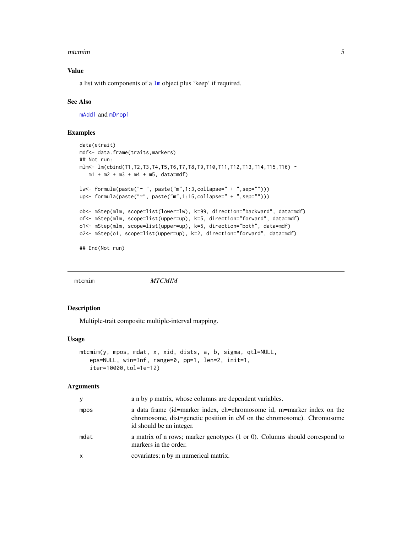#### <span id="page-4-0"></span>mtcmim 5

#### Value

a list with components of a [lm](#page-0-0) object plus 'keep' if required.

#### See Also

[mAdd1](#page-1-1) and [mDrop1](#page-1-2)

#### Examples

```
data(etrait)
mdf<- data.frame(traits,markers)
## Not run:
mlm<- lm(cbind(T1,T2,T3,T4,T5,T6,T7,T8,T9,T10,T11,T12,T13,T14,T15,T16) ~
  m1 + m2 + m3 + m4 + m5, data=mdf)
lw<- formula(paste("~ ", paste("m",1:3,collapse=" + ",sep="")))
up<- formula(paste("~", paste("m",1:15,collapse=" + ",sep="")))
ob<- mStep(mlm, scope=list(lower=lw), k=99, direction="backward", data=mdf)
of<- mStep(mlm, scope=list(upper=up), k=5, direction="forward", data=mdf)
o1<- mStep(mlm, scope=list(upper=up), k=5, direction="both", data=mdf)
o2<- mStep(o1, scope=list(upper=up), k=2, direction="forward", data=mdf)
```
## End(Not run)

<span id="page-4-1"></span>mtcmim *MTCMIM*

#### Description

Multiple-trait composite multiple-interval mapping.

#### Usage

```
mtcmim(y, mpos, mdat, x, xid, dists, a, b, sigma, qtl=NULL,
   eps=NULL, win=Inf, range=0, pp=1, len=2, init=1,
   iter=10000,tol=1e-12)
```

| V    | a n by p matrix, whose columns are dependent variables.                                                                                                                      |
|------|------------------------------------------------------------------------------------------------------------------------------------------------------------------------------|
| mpos | a data frame (id=marker index, ch=chromosome id, m=marker index on the<br>chromosome, dist=genetic position in cM on the chromosome). Chromosome<br>id should be an integer. |
| mdat | a matrix of n rows; marker genotypes $(1 \text{ or } 0)$ . Columns should correspond to<br>markers in the order.                                                             |
| x    | covariates; n by m numerical matrix.                                                                                                                                         |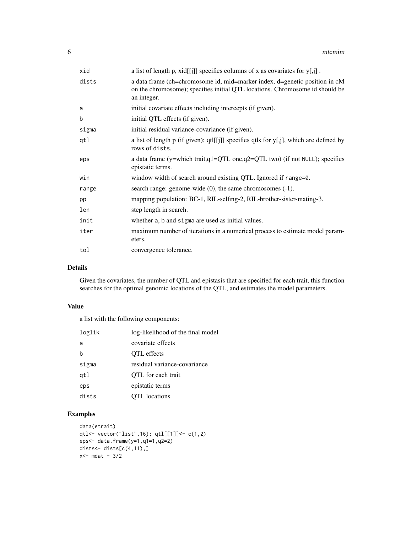| xid   | a list of length p, $xid[[j]]$ specifies columns of x as covariates for $y[j]$ .                                                                                          |
|-------|---------------------------------------------------------------------------------------------------------------------------------------------------------------------------|
| dists | a data frame (ch=chromosome id, mid=marker index, d=genetic position in cM<br>on the chromosome); specifies initial QTL locations. Chromosome id should be<br>an integer. |
| a     | initial covariate effects including intercepts (if given).                                                                                                                |
| b     | initial QTL effects (if given).                                                                                                                                           |
| sigma | initial residual variance-covariance (if given).                                                                                                                          |
| qtl   | a list of length $p$ (if given); $qtl[[j]]$ specifies qtls for $y[j]$ , which are defined by<br>rows of dists.                                                            |
| eps   | a data frame (y=which trait, $q1 = QTL$ one, $q2 = QTL$ two) (if not NULL); specifies<br>epistatic terms.                                                                 |
| win   | window width of search around existing QTL. Ignored if range=0.                                                                                                           |
| range | search range: genome-wide $(0)$ , the same chromosomes $(-1)$ .                                                                                                           |
| pp    | mapping population: BC-1, RIL-selfing-2, RIL-brother-sister-mating-3.                                                                                                     |
| len   | step length in search.                                                                                                                                                    |
| init  | whether a, b and sigma are used as initial values.                                                                                                                        |
| iter  | maximum number of iterations in a numerical process to estimate model param-<br>eters.                                                                                    |
| tol   | convergence tolerance.                                                                                                                                                    |

#### Details

Given the covariates, the number of QTL and epistasis that are specified for each trait, this function searches for the optimal genomic locations of the QTL, and estimates the model parameters.

#### Value

a list with the following components:

| loglik | log-likelihood of the final model |
|--------|-----------------------------------|
| a      | covariate effects                 |
| b      | OTL effects                       |
| sigma  | residual variance-covariance      |
| qtl    | QTL for each trait                |
| eps    | epistatic terms                   |
| dists  | <b>OTL</b> locations              |

```
data(etrait)
qtl<- vector("list",16); qtl[[1]]<- c(1,2)
eps<- data.frame(y=1,q1=1,q2=2)
dists \left[ c(4,11), \right]x<- mdat - 3/2
```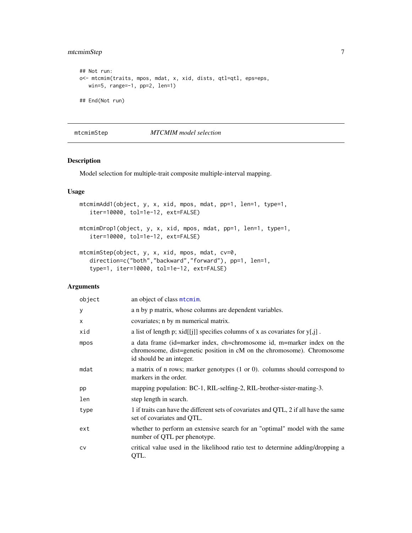# <span id="page-6-0"></span>mtcmimStep 7

```
## Not run:
o<- mtcmim(traits, mpos, mdat, x, xid, dists, qtl=qtl, eps=eps,
  win=5, range=-1, pp=2, len=1)
## End(Not run)
```
#### mtcmimStep *MTCMIM model selection*

### Description

Model selection for multiple-trait composite multiple-interval mapping.

#### Usage

```
mtcmimAdd1(object, y, x, xid, mpos, mdat, pp=1, len=1, type=1,
   iter=10000, tol=1e-12, ext=FALSE)
mtcmimDrop1(object, y, x, xid, mpos, mdat, pp=1, len=1, type=1,
   iter=10000, tol=1e-12, ext=FALSE)
mtcmimStep(object, y, x, xid, mpos, mdat, cv=0,
```

```
direction=c("both","backward","forward"), pp=1, len=1,
type=1, iter=10000, tol=1e-12, ext=FALSE)
```

| object | an object of class mtcmim.                                                                                                                                                   |
|--------|------------------------------------------------------------------------------------------------------------------------------------------------------------------------------|
| y      | a n by p matrix, whose columns are dependent variables.                                                                                                                      |
| X      | covariates; n by m numerical matrix.                                                                                                                                         |
| xid    | a list of length p; xid[[j]] specifies columns of x as covariates for $y[j]$ .                                                                                               |
| mpos   | a data frame (id=marker index, ch=chromosome id, m=marker index on the<br>chromosome, dist=genetic position in cM on the chromosome). Chromosome<br>id should be an integer. |
| mdat   | a matrix of n rows; marker genotypes $(1 \text{ or } 0)$ . columns should correspond to<br>markers in the order.                                                             |
| pp     | mapping population: BC-1, RIL-selfing-2, RIL-brother-sister-mating-3.                                                                                                        |
| len    | step length in search.                                                                                                                                                       |
| type   | 1 if traits can have the different sets of covariates and QTL, 2 if all have the same<br>set of covariates and QTL.                                                          |
| ext    | whether to perform an extensive search for an "optimal" model with the same<br>number of QTL per phenotype.                                                                  |
| CV     | critical value used in the likelihood ratio test to determine adding/dropping a<br>QTL.                                                                                      |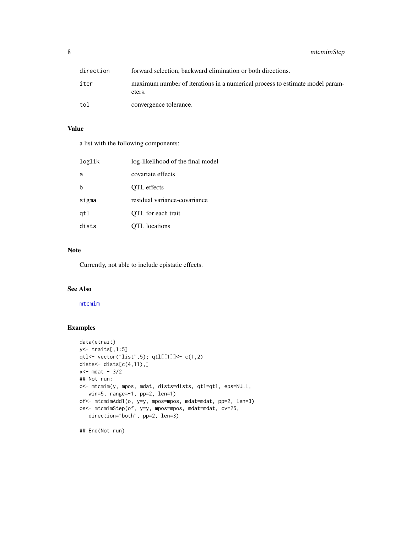<span id="page-7-0"></span>

| direction | forward selection, backward elimination or both directions.                            |
|-----------|----------------------------------------------------------------------------------------|
| iter      | maximum number of iterations in a numerical process to estimate model param-<br>eters. |
| tol       | convergence tolerance.                                                                 |

# Value

a list with the following components:

| loglik | log-likelihood of the final model |
|--------|-----------------------------------|
| a      | covariate effects                 |
|        | OTL effects                       |
| sigma  | residual variance-covariance      |
| gtl    | QTL for each trait                |
| dists  | OTL locations                     |

#### Note

Currently, not able to include epistatic effects.

# See Also

#### [mtcmim](#page-4-1)

# Examples

```
data(etrait)
y<- traits[,1:5]
qtl<- vector("list",5); qtl[[1]]<- c(1,2)
dists\leq dists[c(4,11),]x<- mdat - 3/2
## Not run:
o<- mtcmim(y, mpos, mdat, dists=dists, qtl=qtl, eps=NULL,
   win=5, range=-1, pp=2, len=1)
of<- mtcmimAdd1(o, y=y, mpos=mpos, mdat=mdat, pp=2, len=3)
os<- mtcmimStep(of, y=y, mpos=mpos, mdat=mdat, cv=25,
   direction="both", pp=2, len=3)
```
## End(Not run)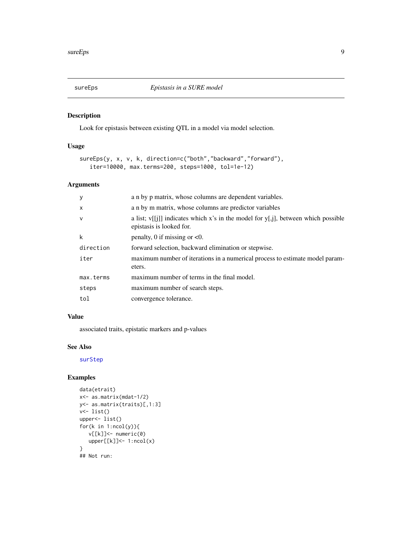<span id="page-8-0"></span>

# Description

Look for epistasis between existing QTL in a model via model selection.

# Usage

```
sureEps(y, x, v, k, direction=c("both","backward","forward"),
  iter=10000, max.terms=200, steps=1000, tol=1e-12)
```
# Arguments

| y            | a n by p matrix, whose columns are dependent variables.                                                           |
|--------------|-------------------------------------------------------------------------------------------------------------------|
| $\mathsf{x}$ | a n by m matrix, whose columns are predictor variables                                                            |
| $\mathsf{v}$ | a list; $v[[j]]$ indicates which x's in the model for $y[j]$ , between which possible<br>epistasis is looked for. |
| k            | penalty, 0 if missing or $< 0$ .                                                                                  |
| direction    | forward selection, backward elimination or stepwise.                                                              |
| iter         | maximum number of iterations in a numerical process to estimate model param-<br>eters.                            |
| max.terms    | maximum number of terms in the final model.                                                                       |
| steps        | maximum number of search steps.                                                                                   |
| tol          | convergence tolerance.                                                                                            |

#### Value

associated traits, epistatic markers and p-values

# See Also

[surStep](#page-10-1)

```
data(etrait)
x<- as.matrix(mdat-1/2)
y<- as.matrix(traits)[,1:3]
v \leftarrow list()
upper<- list()
for(k in 1:ncol(y)){
   v[[k]]<- numeric(0)
   upper[[k]]<- 1:ncol(x)
}
## Not run:
```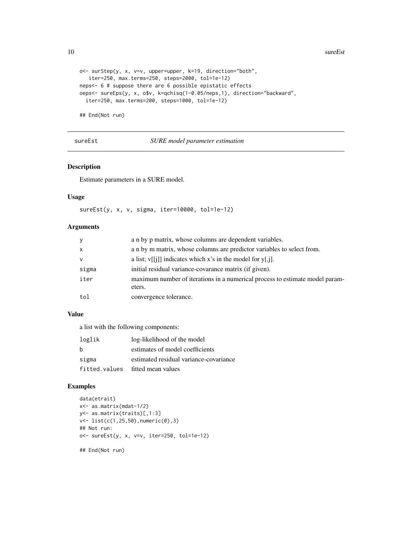<span id="page-9-0"></span>10 sureEst

```
o<- surStep(y, x, v=v, upper=upper, k=19, direction="both",
   iter=250, max.terms=250, steps=2000, tol=1e-12)
neps<- 6 # suppose there are 6 possible epistatic effects
oeps<- sureEps(y, x, o$v, k=qchisq(1-0.05/neps,1), direction="backward",
  iter=250, max.terms=200, steps=1000, tol=1e-12)
```
<span id="page-9-1"></span>

## End(Not run)

sureEst *SURE model parameter estimation*

#### Description

Estimate parameters in a SURE model.

#### Usage

sureEst(y, x, v, sigma, iter=10000, tol=1e-12)

#### Arguments

| y            | a n by p matrix, whose columns are dependent variables.                                |
|--------------|----------------------------------------------------------------------------------------|
| $\mathsf{x}$ | a n by m matrix, whose columns are predictor variables to select from.                 |
| $\mathsf{v}$ | a list; $v[[i]]$ indicates which x's in the model for $v[j]$ .                         |
| sigma        | initial residual variance-covarance matrix (if given).                                 |
| iter         | maximum number of iterations in a numerical process to estimate model param-<br>eters. |
| tol          | convergence tolerance.                                                                 |

# Value

a list with the following components:

| loglik | log-likelihood of the model            |
|--------|----------------------------------------|
| b      | estimates of model coefficients        |
| sigma  | estimated residual variance-covariance |
|        | fitted.values fitted mean values       |

```
data(etrait)
x<- as.matrix(mdat-1/2)
y<- as.matrix(traits)[,1:3]
v<- list(c(1,25,50),numeric(0),3)
## Not run:
o<- sureEst(y, x, v=v, iter=250, tol=1e-12)
## End(Not run)
```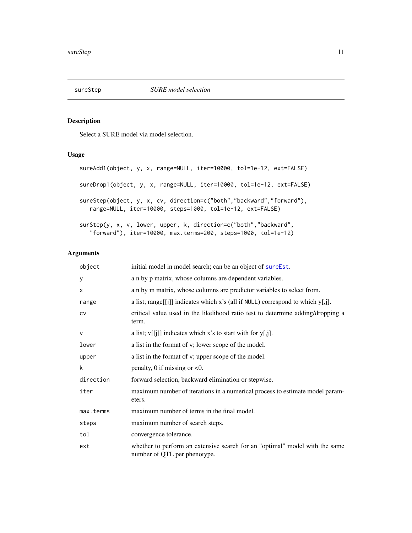<span id="page-10-0"></span>

# <span id="page-10-1"></span>Description

Select a SURE model via model selection.

#### Usage

```
sureAdd1(object, y, x, range=NULL, iter=10000, tol=1e-12, ext=FALSE)
sureDrop1(object, y, x, range=NULL, iter=10000, tol=1e-12, ext=FALSE)
sureStep(object, y, x, cv, direction=c("both","backward","forward"),
   range=NULL, iter=10000, steps=1000, tol=1e-12, ext=FALSE)
surStep(y, x, v, lower, upper, k, direction=c("both","backward",
   "forward"), iter=10000, max.terms=200, steps=1000, tol=1e-12)
```

| object       | initial model in model search; can be an object of sureEst.                                                 |
|--------------|-------------------------------------------------------------------------------------------------------------|
| У            | a n by p matrix, whose columns are dependent variables.                                                     |
| x            | a n by m matrix, whose columns are predictor variables to select from.                                      |
| range        | a list; range[[j]] indicates which x's (all if NULL) correspond to which $y$ [,j].                          |
| CV           | critical value used in the likelihood ratio test to determine adding/dropping a<br>term.                    |
| $\mathsf{V}$ | a list; $v[[j]]$ indicates which x's to start with for $y[j]$ .                                             |
| lower        | a list in the format of v; lower scope of the model.                                                        |
| upper        | a list in the format of v; upper scope of the model.                                                        |
| k            | penalty, 0 if missing or $< 0$ .                                                                            |
| direction    | forward selection, backward elimination or stepwise.                                                        |
| iter         | maximum number of iterations in a numerical process to estimate model param-<br>eters.                      |
| max.terms    | maximum number of terms in the final model.                                                                 |
| steps        | maximum number of search steps.                                                                             |
| tol          | convergence tolerance.                                                                                      |
| ext          | whether to perform an extensive search for an "optimal" model with the same<br>number of QTL per phenotype. |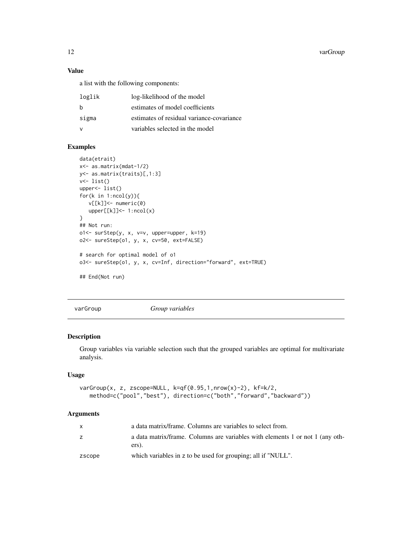12 varGroup

# Value

a list with the following components:

| loglik | log-likelihood of the model               |
|--------|-------------------------------------------|
| b      | estimates of model coefficients           |
| sigma  | estimates of residual variance-covariance |
| ν      | variables selected in the model           |

# Examples

```
data(etrait)
x<- as.matrix(mdat-1/2)
y<- as.matrix(traits)[,1:3]
v<- list()
upper<- list()
for(k in 1:ncol(y)){
  v[[k]]<- numeric(0)
  upper[[k]]<- 1:ncol(x)
}
## Not run:
o1<- surStep(y, x, v=v, upper=upper, k=19)
o2<- sureStep(o1, y, x, cv=50, ext=FALSE)
# search for optimal model of o1
o3<- sureStep(o1, y, x, cv=Inf, direction="forward", ext=TRUE)
## End(Not run)
```
<span id="page-11-1"></span>varGroup *Group variables*

# Description

Group variables via variable selection such that the grouped variables are optimal for multivariate analysis.

#### Usage

```
varGroup(x, z, zscope=NULL, k=qf(0.95,1,nrow(x)-2), kf=k/2,
   method=c("pool","best"), direction=c("both","forward","backward"))
```

|        | a data matrix/frame. Columns are variables to select from.                             |
|--------|----------------------------------------------------------------------------------------|
|        | a data matrix/frame. Columns are variables with elements 1 or not 1 (any oth-<br>ers). |
| zscope | which variables in z to be used for grouping; all if "NULL".                           |

<span id="page-11-0"></span>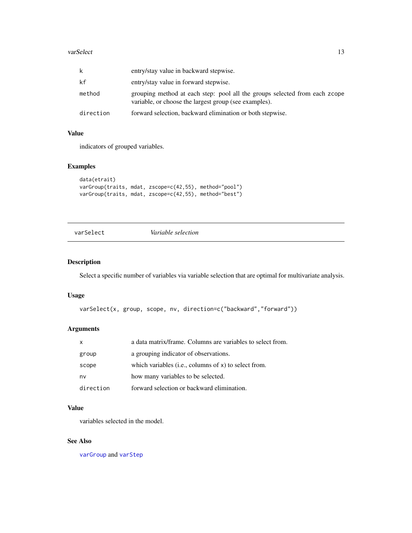#### <span id="page-12-0"></span>varSelect 13

| k         | entry/stay value in backward stepwise.                                                                                              |
|-----------|-------------------------------------------------------------------------------------------------------------------------------------|
| kf        | entry/stay value in forward stepwise.                                                                                               |
| method    | grouping method at each step: pool all the groups selected from each zcope<br>variable, or choose the largest group (see examples). |
| direction | forward selection, backward elimination or both stepwise.                                                                           |

# Value

indicators of grouped variables.

# Examples

```
data(etrait)
varGroup(traits, mdat, zscope=c(42,55), method="pool")
varGroup(traits, mdat, zscope=c(42,55), method="best")
```
# <span id="page-12-1"></span>varSelect *Variable selection*

# Description

Select a specific number of variables via variable selection that are optimal for multivariate analysis.

# Usage

```
varSelect(x, group, scope, nv, direction=c("backward","forward"))
```
# Arguments

| X         | a data matrix/frame. Columns are variables to select from. |
|-----------|------------------------------------------------------------|
| group     | a grouping indicator of observations.                      |
| scope     | which variables (i.e., columns of $x$ ) to select from.    |
| nv        | how many variables to be selected.                         |
| direction | forward selection or backward elimination.                 |

# Value

variables selected in the model.

# See Also

[varGroup](#page-11-1) and [varStep](#page-13-1)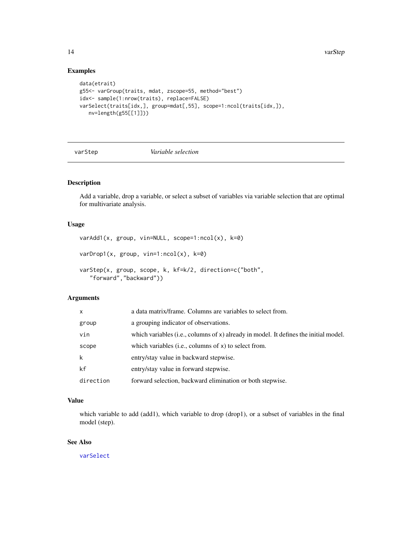# Examples

```
data(etrait)
g55<- varGroup(traits, mdat, zscope=55, method="best")
idx<- sample(1:nrow(traits), replace=FALSE)
varSelect(traits[idx,], group=mdat[,55], scope=1:ncol(traits[idx,]),
  nv=length(g55[[1]]))
```
#### <span id="page-13-1"></span>varStep *Variable selection*

#### Description

Add a variable, drop a variable, or select a subset of variables via variable selection that are optimal for multivariate analysis.

#### Usage

```
varAdd1(x, group, vin=NULL, scope=1:ncol(x), k=0)
varDrop1(x, group, vin=1:ncol(x), k=0)
varStep(x, group, scope, k, kf=k/2, direction=c("both",
   "forward","backward"))
```
#### Arguments

| x         | a data matrix/frame. Columns are variables to select from.                           |
|-----------|--------------------------------------------------------------------------------------|
| group     | a grouping indicator of observations.                                                |
| vin       | which variables (i.e., columns of x) already in model. It defines the initial model. |
| scope     | which variables ( <i>i.e.</i> , columns of x) to select from.                        |
| k         | entry/stay value in backward stepwise.                                               |
| kf        | entry/stay value in forward stepwise.                                                |
| direction | forward selection, backward elimination or both stepwise.                            |

# Value

which variable to add (add1), which variable to drop (drop1), or a subset of variables in the final model (step).

#### See Also

[varSelect](#page-12-1)

<span id="page-13-0"></span>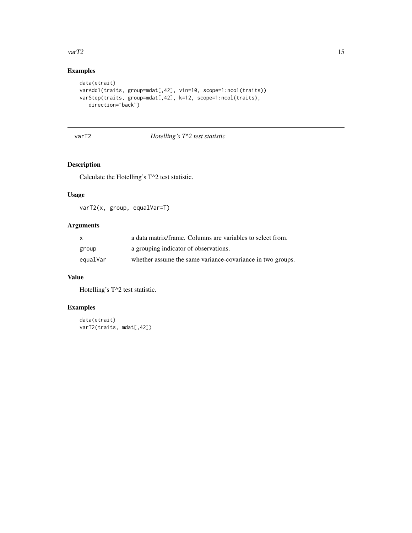#### <span id="page-14-0"></span> $varT2$  15

# Examples

```
data(etrait)
varAdd1(traits, group=mdat[,42], vin=10, scope=1:ncol(traits))
varStep(traits, group=mdat[,42], k=12, scope=1:ncol(traits),
   direction="back")
```
# varT2 *Hotelling's T^2 test statistic*

# Description

Calculate the Hotelling's T^2 test statistic.

#### Usage

varT2(x, group, equalVar=T)

# Arguments

| X        | a data matrix/frame. Columns are variables to select from. |
|----------|------------------------------------------------------------|
| group    | a grouping indicator of observations.                      |
| equalVar | whether assume the same variance-covariance in two groups. |

# Value

Hotelling's T^2 test statistic.

```
data(etrait)
varT2(traits, mdat[,42])
```